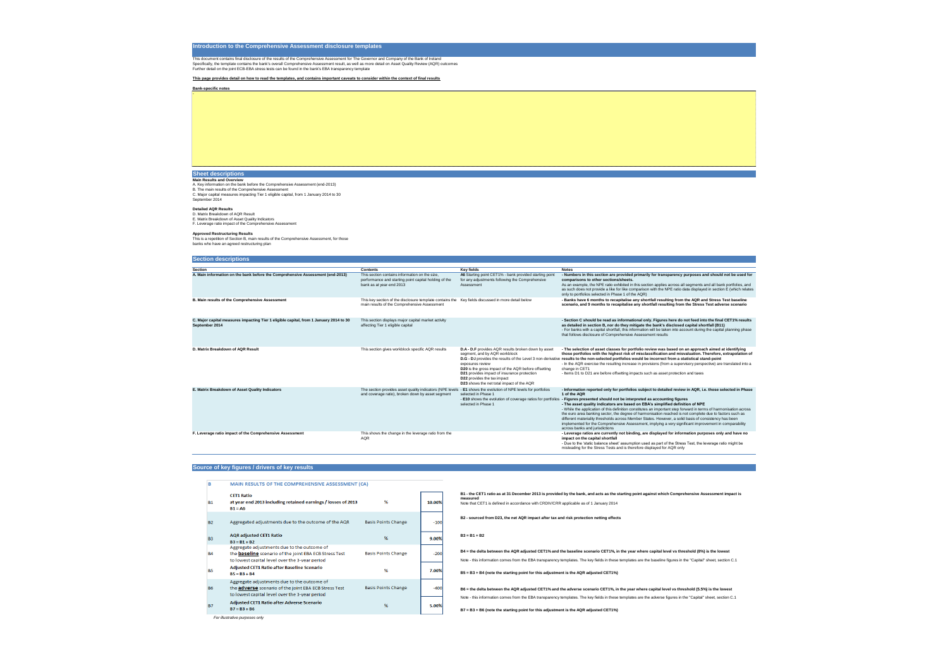# **Introduction to the Comprehensive Assessment disclosure templates**

This document contains final disclosure of the results of the Comprehensive Assessment for The Governor and Company of the Bank of Ireland Specifically, the template contains the bank's overall Comprehensive Assessment result, as well as more detail on Asset Quality Review (AQR) outcomes Further detail on the joint ECB-EBA stress tests can be found in the bank's EBA transparency template

**This page provides detail on how to read the templates, and contains important caveats to consider within the context of final results**

**Bank-specific notes**

# **Sheet descriptions**

**Main Results and Overview** A. Key information on the bank before the Comprehensive Assessment (end-2013) B. The main results of the Comprehensive Assessment C. Major capital measures impacting Tier 1 eligible capital, from 1 January 2014 to 30 September 2014

### **Detailed AQR Results**

D. Matrix Breakdown of AQR Result

E. Matrix Breakdown of Asset Quality Indicators F. Leverage ratio impact of the Comprehensive Assessment

# **Approved Restructuring Results**

This is a repetition of Section B, main results of the Comprehensive Assessment, for those banks who have an agreed restructuring plan

# **Section descriptions**

| <b>Section descriptions</b>                                                                              |                                                                                                                                                                      |                                                                                                                                                                                                                                                                                                                                                                                                                          |                                                                                                                                                                                                                                                                                                                                                                        |
|----------------------------------------------------------------------------------------------------------|----------------------------------------------------------------------------------------------------------------------------------------------------------------------|--------------------------------------------------------------------------------------------------------------------------------------------------------------------------------------------------------------------------------------------------------------------------------------------------------------------------------------------------------------------------------------------------------------------------|------------------------------------------------------------------------------------------------------------------------------------------------------------------------------------------------------------------------------------------------------------------------------------------------------------------------------------------------------------------------|
| <b>Section</b>                                                                                           |                                                                                                                                                                      |                                                                                                                                                                                                                                                                                                                                                                                                                          |                                                                                                                                                                                                                                                                                                                                                                        |
| A. Main information on the bank before the Comprehensive Assessment (end-2013)                           | <b>Contents</b><br>This section contains information on the size,<br>performance and starting point capital holding of the<br>bank as at year-end 2013               | <b>Key fields</b><br>A6 Starting point CET1% - bank provided starting point<br>for any adjustments following the Comprehensive<br>Assessment                                                                                                                                                                                                                                                                             | <b>Notes</b><br>- Numbers in this section are provided primari<br>comparisons to other sections/sheets.<br>As an example, the NPE ratio exhibited in this sed<br>as such does not provide a like for like compariso<br>only to portfolios selected in Phase 1 of the AQR)                                                                                              |
| <b>B. Main results of the Comprehensive Assessment</b>                                                   | This key section of the disclosure template contains the Key fields discussed in more detail below<br>main results of the Comprehensive Assessment                   |                                                                                                                                                                                                                                                                                                                                                                                                                          | - Banks have 6 months to recapitalise any sho<br>scenario, and 9 months to recapitalise any she                                                                                                                                                                                                                                                                        |
| C. Major capital measures impacting Tier 1 eligible capital, from 1 January 2014 to 30<br>September 2014 | This section displays major capital market activity<br>affecting Tier 1 eligible capital                                                                             |                                                                                                                                                                                                                                                                                                                                                                                                                          | - Section C should be read as informational or<br>as detailed in section B, nor do they mitigate t<br>- For banks with a capital shortfall, this information<br>that follows disclosure of Comprehensive Assess                                                                                                                                                        |
| D. Matrix Breakdown of AQR Result                                                                        | This section gives workblock specific AQR results                                                                                                                    | D.A - D.F provides AQR results broken down by asset<br>segment, and by AQR workblock<br>D.G - D.I provides the results of the Level 3 non-derivative results to the non-selected portfolios would b<br>exposures review<br><b>D20</b> is the gross impact of the AQR before offsetting<br>D21 provides impact of insurance protection<br><b>D22</b> provides the tax impact<br>D23 shows the net total impact of the AQR | - The selection of asset classes for portfolio re<br>those portfolios with the highest risk of miscla<br>- In the AQR exercise the resulting increase in pro-<br>change in CET1<br>- Items D1 to D21 are before offsetting impacts so                                                                                                                                  |
| E. Matrix Breakdown of Asset Quality Indicators                                                          | The section provides asset quality indicators (NPE levels - E1 shows the evolution of NPE levels for portfolios<br>and coverage ratio), broken down by asset segment | selected in Phase 1<br>- E10 shows the evolution of coverage ratios for portfolios - Figures presented should not be interpreted<br>selected in Phase 1                                                                                                                                                                                                                                                                  | - Information reported only for portfolios subje<br>1 of the AQR<br>- The asset quality indicators are based on EB<br>- While the application of this definition constitutes<br>the euro area banking sector, the degree of harm<br>different materiality thresholds across Member St<br>implemented for the Comprehensive Assessmen<br>across banks and jurisdictions |
| F. Leverage ratio impact of the Comprehensive Assessment                                                 | This shows the change in the leverage ratio from the<br>AQR                                                                                                          |                                                                                                                                                                                                                                                                                                                                                                                                                          | - Leverage ratios are currently not binding, are<br>impact on the capital shortfall<br>- Due to the 'static balance sheet' assumption use<br>misleading for the Stress Tests and is therefore d                                                                                                                                                                        |

# **Source of key figures / drivers of key results**

| в         | <b>MAIN RESULTS OF THE COMPREHENSIVE ASSESSMENT (CA)</b>                                                                                                       |                            |        |
|-----------|----------------------------------------------------------------------------------------------------------------------------------------------------------------|----------------------------|--------|
| <b>B1</b> | <b>CET1 Ratio</b><br>at year end 2013 including retained earnings / losses of 2013<br>$B1 = A6$                                                                | %                          | 10.00% |
| <b>B2</b> | Aggregated adjustments due to the outcome of the AQR                                                                                                           | <b>Basis Points Change</b> | $-100$ |
| <b>B3</b> | <b>AQR</b> adjusted CET1 Ratio<br>$B3 = B1 + B2$                                                                                                               | %                          | 9.00%  |
| <b>B4</b> | Aggregate adjustments due to the outcome of<br>the <b>baseline</b> scenario of the joint EBA ECB Stress Test<br>to lowest capital level over the 3-year period | <b>Basis Points Change</b> | $-200$ |
| <b>B5</b> | <b>Adjusted CET1 Ratio after Baseline Scenario</b><br>$B5 = B3 + B4$                                                                                           | %                          | 7.00%  |
| <b>B6</b> | Aggregate adjustments due to the outcome of<br>the <b>adverse</b> scenario of the joint EBA ECB Stress Test<br>to lowest capital level over the 3-year period  | <b>Basis Points Change</b> | $-400$ |
| <b>B7</b> | <b>Adjusted CET1 Ratio after Adverse Scenario</b><br>$B7 = B3 + B6$                                                                                            | %                          | 5.00%  |

 *For illustrative purposes only*

**B5 = B3 + B4 (note the starting point for this adjustment is the AQR adjusted CET1%)**

**B6 = the delta between the AQR adjusted CET1% and the adverse scenario CET1%, in the year where capital level vs threshold (5.5%) is the lowest** Note - this information comes from the EBA transparency templates. The key fields in these templates are the adverse figures in the "Capital" sheet, section C.1

**B7 = B3 + B6 (note the starting point for this adjustment is the AQR adjusted CET1%)**

arily for transparency purposes and should not be used for

ection applies across all segments and all bank portfolios, and son with the NPE ratio data displayed in section E (which relates

**hortfall resulting from the AQR and Stress Test baseline shortfall resulting from the Stress Test adverse scenario** 

only. Figures here do not feed into the final CET1% results **e** the bank's disclosed capital shortfall (B11) tion will be taken into account during the capital planning phase ssment results

**review was based on an approach aimed at identifying those portfolios with the highest risk of misclassification and misvaluation. Therefore, extrapolation of**  be incorrect from a statistical stand-point orovisions (from a supervisory perspective) are translated into a

such as asset protection and taxes

bject to detailed review in AQR, i.e. those selected in Phase

**ed as accounting figures** 

**EBA's simplified definition of NPE** tes an important step forward in terms of harmonisation across

 $r$ monisation reached is not complete due to factors such as States. However, a solid basis of consistency has been ent, implying a very significant improvement in comparability

are displayed for information purposes only and have no

ised as part of the Stress Test, the leverage ratio might be displayed for AQR only

-

**B1 - the CET1 ratio as at 31 December 2013 is provided by the bank, and acts as the starting point against which Comprehensive Assessment impact is measured** Note that CET1 is defined in accordance with CRDIV/CRR applicable as of 1 January 2014

**B2 - sourced from D23, the net AQR impact after tax and risk protection netting effects**

### **B3 = B1 + B2**

**B4 = the delta between the AQR adjusted CET1% and the baseline scenario CET1%, in the year where capital level vs threshold (8%) is the lowest** Note - this information comes from the EBA transparency templates. The key fields in these templates are the baseline figures in the "Capital" sheet, section C.1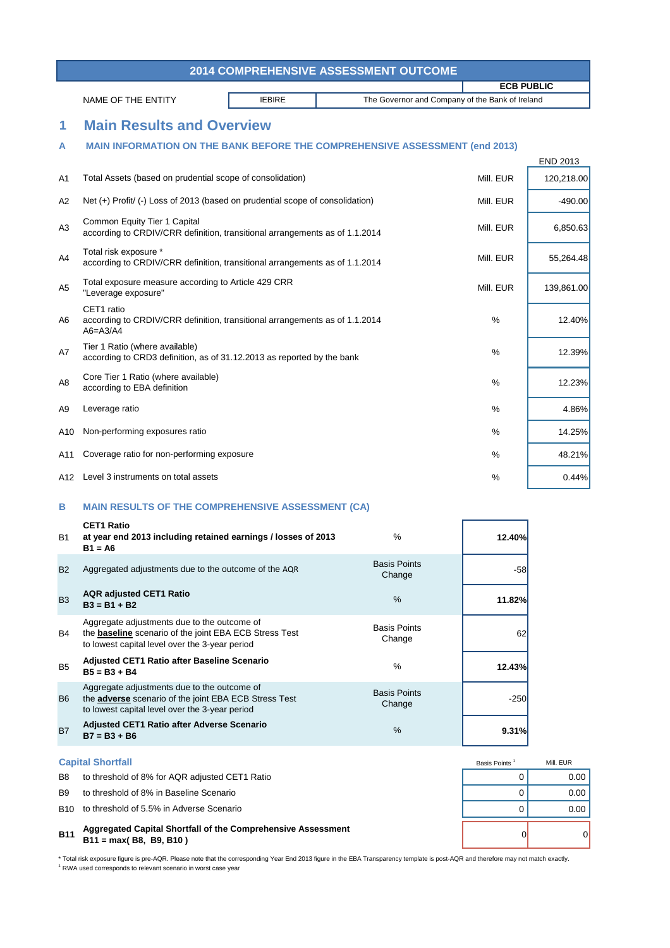\* Total risk exposure figure is pre-AQR. Please note that the corresponding Year End 2013 figure in the EBA Transparency template is post-AQR and therefore may not match exactly. <sup>1</sup> RWA used corresponds to relevant scenario in worst case year

| Basis Points <sup>1</sup> | Mill. EUR |
|---------------------------|-----------|
|                           | 0.00      |
| 0                         | 0.00      |
|                           | 0.00      |
| ი                         |           |

|                | <b>2014 COMPREHENSIVE ASSESSMENT OUTCOME</b>                                                                                                                   |                                                 |                   |                 |  |  |  |  |
|----------------|----------------------------------------------------------------------------------------------------------------------------------------------------------------|-------------------------------------------------|-------------------|-----------------|--|--|--|--|
|                |                                                                                                                                                                |                                                 | <b>ECB PUBLIC</b> |                 |  |  |  |  |
|                | <b>IEBIRE</b><br>NAME OF THE ENTITY                                                                                                                            | The Governor and Company of the Bank of Ireland |                   |                 |  |  |  |  |
| 1              | <b>Main Results and Overview</b>                                                                                                                               |                                                 |                   |                 |  |  |  |  |
| A              | <b>MAIN INFORMATION ON THE BANK BEFORE THE COMPREHENSIVE ASSESSMENT (end 2013)</b>                                                                             |                                                 |                   |                 |  |  |  |  |
|                |                                                                                                                                                                |                                                 |                   | <b>END 2013</b> |  |  |  |  |
| A1             | Total Assets (based on prudential scope of consolidation)                                                                                                      |                                                 | Mill. EUR         | 120,218.00      |  |  |  |  |
| A <sub>2</sub> | Net (+) Profit/ (-) Loss of 2013 (based on prudential scope of consolidation)                                                                                  |                                                 | Mill. EUR         | $-490.00$       |  |  |  |  |
| A3             | <b>Common Equity Tier 1 Capital</b><br>according to CRDIV/CRR definition, transitional arrangements as of 1.1.2014                                             |                                                 | Mill. EUR         | 6,850.63        |  |  |  |  |
| A4             | Total risk exposure *<br>according to CRDIV/CRR definition, transitional arrangements as of 1.1.2014                                                           |                                                 | Mill. EUR         | 55,264.48       |  |  |  |  |
| A5             | Total exposure measure according to Article 429 CRR<br>"Leverage exposure"                                                                                     |                                                 | Mill. EUR         | 139,861.00      |  |  |  |  |
| A6             | CET1 ratio<br>according to CRDIV/CRR definition, transitional arrangements as of 1.1.2014<br>$A6 = A3/A4$                                                      |                                                 | %                 | 12.40%          |  |  |  |  |
| A7             | Tier 1 Ratio (where available)<br>according to CRD3 definition, as of 31.12.2013 as reported by the bank                                                       |                                                 | %                 | 12.39%          |  |  |  |  |
| A8             | Core Tier 1 Ratio (where available)<br>according to EBA definition                                                                                             |                                                 | %                 | 12.23%          |  |  |  |  |
| A9             | Leverage ratio                                                                                                                                                 |                                                 | %                 | 4.86%           |  |  |  |  |
| A10            | Non-performing exposures ratio                                                                                                                                 |                                                 | $\%$              | 14.25%          |  |  |  |  |
| A11            | Coverage ratio for non-performing exposure                                                                                                                     |                                                 | $\%$              | 48.21%          |  |  |  |  |
| A12            | Level 3 instruments on total assets                                                                                                                            |                                                 | %                 | 0.44%           |  |  |  |  |
| B              | <b>MAIN RESULTS OF THE COMPREHENSIVE ASSESSMENT (CA)</b>                                                                                                       |                                                 |                   |                 |  |  |  |  |
| <b>B1</b>      | <b>CET1 Ratio</b><br>at year end 2013 including retained earnings / losses of 2013<br>$B1 = A6$                                                                | %                                               | 12.40%            |                 |  |  |  |  |
| <b>B2</b>      | Aggregated adjustments due to the outcome of the AQR                                                                                                           | <b>Basis Points</b><br>Change                   | $-58$             |                 |  |  |  |  |
| <b>B3</b>      | <b>AQR adjusted CET1 Ratio</b><br>$B3 = B1 + B2$                                                                                                               | $\%$                                            | 11.82%            |                 |  |  |  |  |
| B4             | Aggregate adjustments due to the outcome of<br>the <b>baseline</b> scenario of the joint EBA ECB Stress Test<br>to lowest capital level over the 3-year period | <b>Basis Points</b><br>Change                   | 62                |                 |  |  |  |  |
| B <sub>5</sub> | <b>Adjusted CET1 Ratio after Baseline Scenario</b><br>$B5 = B3 + B4$                                                                                           | %                                               | 12.43%            |                 |  |  |  |  |
| B <sub>6</sub> | Aggregate adjustments due to the outcome of<br>the <b>adverse</b> scenario of the joint EBA ECB Stress Test<br>to lowest capital level over the 3-year period  | <b>Basis Points</b><br>Change                   | $-250$            |                 |  |  |  |  |

| B7 | Adjusted CET1 Ratio after Adverse Scenario | 9.31% |
|----|--------------------------------------------|-------|
|    | $B7 = B3 + B6$                             |       |

### **B11** 0 0 **Aggregated Capital Shortfall of the Comprehensive Assessment B11 = max( B8, B9, B10 )**

# **Capital Shortfall**

- B8 to threshold of 8% for AQR adjusted CET1 Ratio **EXAMPLE 10 CONSUMPLE 10 CONSUMPLE 10** COO
- B9 to threshold of 8% in Baseline Scenario and the state of the state of the state of the state of the state of the state of the state of the state of the state of the state of the state of the state of the state of the st
- B10 to threshold of 5.5% in Adverse Scenario **by the set of the set of the set of the set of the set of the set o**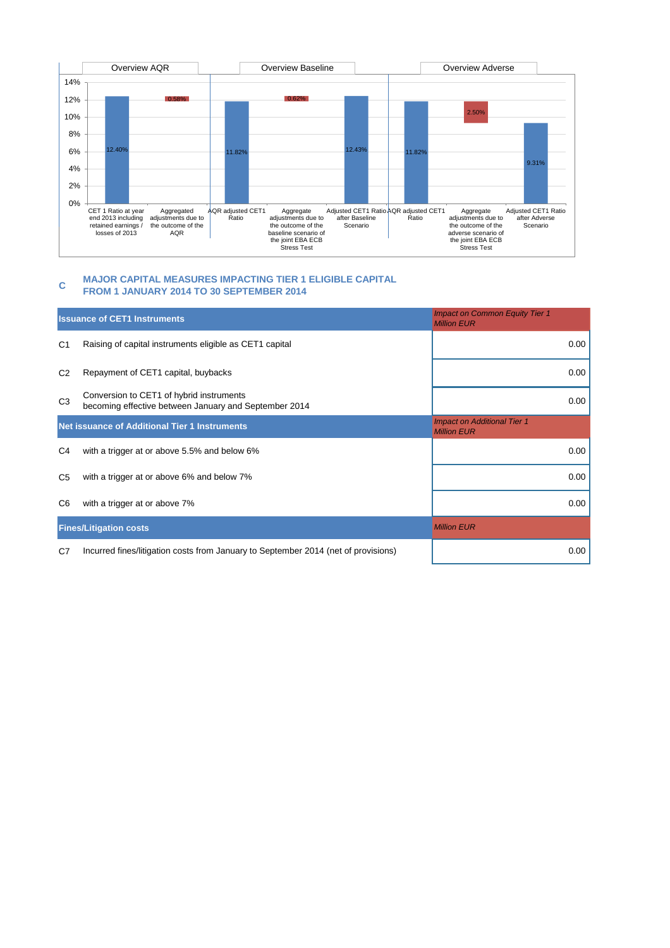#### **C MAJOR CAPITAL MEASURES IMPACTING TIER 1 ELIGIBLE CAPITAL FROM 1 JANUARY 2014 TO 30 SEPTEMBER 2014**

|                | <b>Issuance of CET1 Instruments</b>                                                               | <b>Impact on Common Equity Tier 1</b><br><b>Million EUR</b> |
|----------------|---------------------------------------------------------------------------------------------------|-------------------------------------------------------------|
| C <sub>1</sub> | Raising of capital instruments eligible as CET1 capital                                           | 0.00                                                        |
| C <sub>2</sub> | Repayment of CET1 capital, buybacks                                                               | 0.00                                                        |
| C <sub>3</sub> | Conversion to CET1 of hybrid instruments<br>becoming effective between January and September 2014 | 0.00                                                        |
|                | <b>Net issuance of Additional Tier 1 Instruments</b>                                              | <b>Impact on Additional Tier 1</b><br><b>Million EUR</b>    |
| C <sub>4</sub> | with a trigger at or above 5.5% and below 6%                                                      | 0.00                                                        |
| C <sub>5</sub> | with a trigger at or above 6% and below 7%                                                        | 0.00                                                        |
| C <sub>6</sub> | with a trigger at or above 7%                                                                     | 0.00                                                        |
|                | <b>Fines/Litigation costs</b>                                                                     | <b>Million EUR</b>                                          |
| C <sub>7</sub> | Incurred fines/litigation costs from January to September 2014 (net of provisions)                | 0.00                                                        |

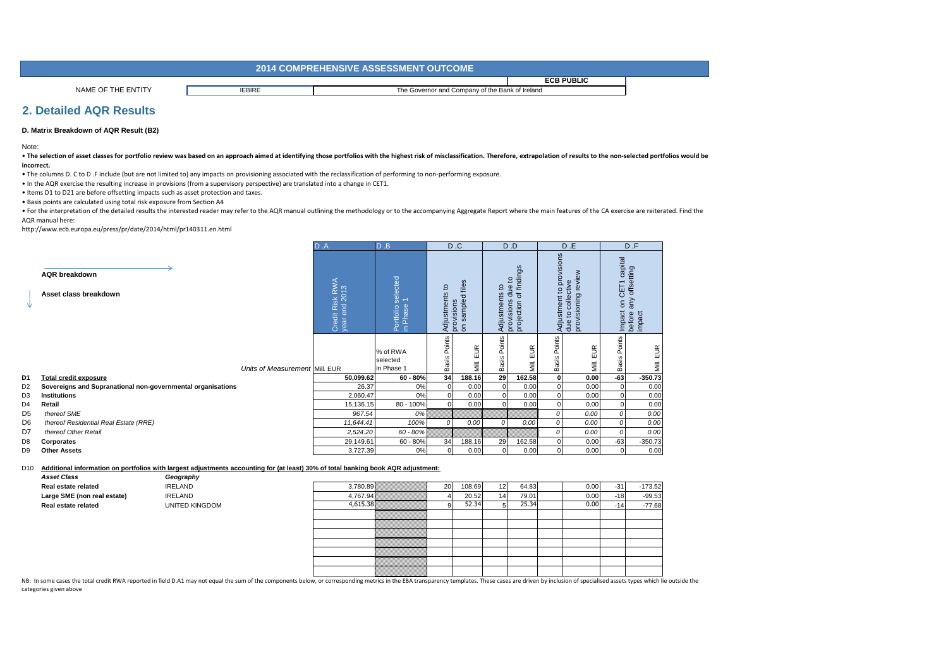# **2. Detailed AQR Results**

### **D. Matrix Breakdown of AQR Result (B2)**

. The selection of asset classes for portfolio review was based on an approach aimed at identifying those portfolios with the highest risk of misclassification. Therefore, extrapolation of results to the non-selected portf **incorrect.**

#### D10 **Additional information on portfolios with largest adjustments accounting for (at least) 30% of total banking book AQR adjustment:**

| <b>Asset Class</b>          | Geography             |           |    |        |    |                                  |       |       |          |
|-----------------------------|-----------------------|-----------|----|--------|----|----------------------------------|-------|-------|----------|
| Real estate related         | <b>IRELAND</b>        | 3,780.89  | 20 | 108.69 | 12 | 64.83                            | 0.00  | $-31$ | 173.52   |
| Large SME (non real estate) | <b>IRELAND</b>        | ∔,767.94∦ |    | 20.52  | 14 | 79.01                            | 0.00  | $-18$ | $-99.53$ |
| <b>Real estate related</b>  | <b>UNITED KINGDOM</b> | 4,615.38  |    | 52.34' |    | $\neg$ 5 $\neg$ 3 $\neg$<br>ر رے | J.001 | $-14$ | -77.68   |
|                             |                       |           |    |        |    |                                  |       |       |          |

. For the interpretation of the detailed results the interested reader may refer to the AQR manual outlining the methodology or to the accompanying Aggregate Report where the main features of the CA exercise are reiterated AQR manual here:

|                |                                                             | D.A                              | D.B                                                           |                             | D.C                                                                   |                                            | D.D                                                                                |                             | D.E                                                                     |                                            | D.F                                   |
|----------------|-------------------------------------------------------------|----------------------------------|---------------------------------------------------------------|-----------------------------|-----------------------------------------------------------------------|--------------------------------------------|------------------------------------------------------------------------------------|-----------------------------|-------------------------------------------------------------------------|--------------------------------------------|---------------------------------------|
| ₩              | <b>AQR</b> breakdown<br>Asset class breakdown               | Credit Risk RWA<br>year end 2013 | selected<br>$\overline{\phantom{0}}$<br>Portfolio<br>in Phase | $\mathbf{c}$<br>Adjustments | files<br>$\overline{\mathrm{o}}$<br>sampleo<br>provisions<br>$\delta$ | $\overline{\mathbf{c}}$<br>ents<br>Adjustm | ngs<br>of findi<br>$\overline{5}$<br>$\mathbf{B}$<br>ਠ<br>provisions<br>projection | provisions<br>Adjustment to | $\epsilon$<br>revi<br>collective<br>provisioning<br>$\mathtt{Q}$<br>due | capital<br>CET <sub>1</sub><br>5<br>Impact | offsetting<br>any<br>impact<br>before |
|                | Units of Measurement Mill. EUR                              |                                  | % of RWA<br>selected<br>in Phase 1                            | Points<br><b>Basis</b>      | EUR<br>Mill.                                                          | Points<br><b>Basis</b>                     | $\widetilde{\Xi}$<br>ш<br>Μill.                                                    | Points<br><b>Basis</b>      | EUR<br>Μill.                                                            | Points<br><b>Basis</b>                     | EUR<br>Mill.                          |
| D1             | Total credit exposure                                       | 50,099.62                        | $60 - 80%$                                                    | 34                          | 188.16                                                                | 29                                         | 162.58                                                                             | 0                           | 0.00                                                                    | $-63$                                      | $-350.73$                             |
| D2             | Sovereigns and Supranational non-governmental organisations | 26.37                            | 0%                                                            |                             | 0.00                                                                  | $\overline{0}$                             | 0.00                                                                               | $\overline{0}$              | 0.00                                                                    |                                            | 0.00                                  |
| D3             | <b>Institutions</b>                                         | 2,060.47                         | 0%                                                            |                             | 0.00                                                                  | $\overline{0}$                             | 0.00                                                                               | $\overline{0}$              | 0.00                                                                    |                                            | 0.00                                  |
| D4             | Retail                                                      | 15,136.15                        | 80 - 100%                                                     |                             | 0.00                                                                  | $\overline{0}$                             | 0.00                                                                               | $\Omega$                    | 0.00                                                                    |                                            | 0.00                                  |
| D5             | thereof SME                                                 | 967.54                           | 0%                                                            |                             |                                                                       |                                            |                                                                                    | 0                           | 0.00                                                                    |                                            | 0.00                                  |
| D <sub>6</sub> | thereof Residential Real Estate (RRE)                       | 11,644.41                        | 100%                                                          | 0                           | 0.00                                                                  | 0                                          | 0.00                                                                               | 0                           | 0.00                                                                    |                                            | 0.00                                  |
| D7             | thereof Other Retail                                        | 2,524.20                         | 60 - 80%                                                      |                             |                                                                       |                                            |                                                                                    | 0                           | 0.00                                                                    |                                            | 0.00                                  |
| D8             | Corporates                                                  | 29,149.61                        | $60 - 80%$                                                    | 34                          | 188.16                                                                | 29                                         | 162.58                                                                             | 0                           | 0.00                                                                    | $-63$                                      | $-350.73$                             |
| D9             | <b>Other Assets</b>                                         | 3,727.39                         | 0%                                                            |                             | 0.00                                                                  | $\overline{0}$                             | 0.00                                                                               | $\overline{0}$              | 0.00                                                                    | $\Omega$                                   | 0.00                                  |
|                |                                                             |                                  |                                                               |                             |                                                                       |                                            |                                                                                    |                             |                                                                         |                                            |                                       |

Note:

NB: In some cases the total credit RWA reported in field D.A1 may not equal the sum of the components below, or corresponding metrics in the EBA transparency templates. These cases are driven by inclusion of specialised as categories given above



| 0.00 | $-31$ | $-173.52$ |
|------|-------|-----------|
| 0.00 | $-18$ | $-99.53$  |
| 0.00 | $-14$ | $-77.68$  |
|      |       |           |
|      |       |           |
|      |       |           |
|      |       |           |
|      |       |           |
|      |       |           |
|      |       |           |
|      |       |           |

• The columns D. C to D .F include (but are not limited to) any impacts on provisioning associated with the reclassification of performing to non-performing exposure.

• In the AQR exercise the resulting increase in provisions (from a supervisory perspective) are translated into a change in CET1.

• Items D1 to D21 are before offsetting impacts such as asset protection and taxes.

• Basis points are calculated using total risk exposure from Section A4

|                    | <b>2014 COMPREHENSIVE ASSESSMENT OUTCOME</b> |                                                 |                   |  |  |
|--------------------|----------------------------------------------|-------------------------------------------------|-------------------|--|--|
|                    |                                              |                                                 | <b>ECB PUBLIC</b> |  |  |
| NAME OF THE ENTITY | <b>IEBIRE</b>                                | The Governor and Company of the Bank of Ireland |                   |  |  |

http://www.ecb.europa.eu/press/pr/date/2014/html/pr140311.en.html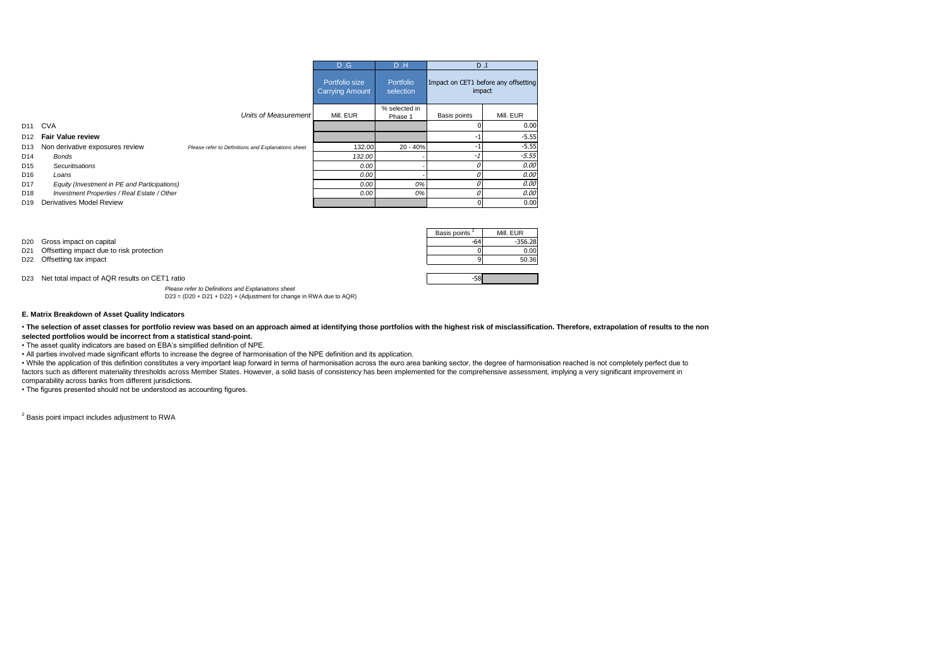• The selection of asset classes for portfolio review was based on an approach aimed at identifying those portfolios with the highest risk of misclassification. Therefore, extrapolation of results to the non**selected portfolios would be incorrect from a statistical stand-point.**

*Please refer to Definitions and Explanations sheet*

D23 = (D20 + D21 + D22) + (Adjustment for change in RWA due to AQR)

#### **E. Matrix Breakdown of Asset Quality Indicators**

|                 |                                              |                                                    | D.G                                      | D.H                      | $D$ . I                                        |           |
|-----------------|----------------------------------------------|----------------------------------------------------|------------------------------------------|--------------------------|------------------------------------------------|-----------|
|                 |                                              |                                                    | Portfolio size<br><b>Carrying Amount</b> | Portfolio<br>selection   | Impact on CET1 before any offsetting<br>impact |           |
|                 |                                              | Units of Measurement                               | Mill. EUR                                | % selected in<br>Phase 1 | Basis points                                   | Mill. EUR |
| D <sub>11</sub> | <b>CVA</b>                                   |                                                    |                                          |                          |                                                | 0.00      |
| D12             | <b>Fair Value review</b>                     |                                                    |                                          |                          |                                                | $-5.55$   |
| D <sub>13</sub> | Non derivative exposures review              | Please refer to Definitions and Explanations sheet | 132.00                                   | 20 - 40%                 |                                                | $-5.55$   |
| D14             | Bonds                                        |                                                    | 132.00                                   |                          | -1                                             | $-5.55$   |
| D <sub>15</sub> | Securitisations                              |                                                    | 0.00                                     |                          |                                                | 0.00      |
| D <sub>16</sub> | Loans                                        |                                                    | 0.00                                     |                          |                                                | 0.00      |
| D <sub>17</sub> | Equity (Investment in PE and Participations) |                                                    | 0.00                                     | 0%                       |                                                | 0.00      |
| D18             | Investment Properties / Real Estate / Other  |                                                    | 0.00                                     | 0%                       | 0                                              | 0.00      |
| D <sub>19</sub> | <b>Derivatives Model Review</b>              |                                                    |                                          |                          | $\Omega$                                       | 0.00      |

• The asset quality indicators are based on EBA's simplified definition of NPE.

• All parties involved made significant efforts to increase the degree of harmonisation of the NPE definition and its application.

|                                                   | Basis points <sup>2</sup> | Mill. EUR |
|---------------------------------------------------|---------------------------|-----------|
| D <sub>20</sub> Gross impact on capital           | -64'                      | $-356.28$ |
| D21 Offsetting impact due to risk protection      |                           | 0.00      |
| D22 Offsetting tax impact                         |                           | 50.36     |
|                                                   |                           |           |
| D23 Net total impact of AQR results on CET1 ratio | &5-                       |           |

• While the application of this definition constitutes a very important leap forward in terms of harmonisation across the euro area banking sector, the degree of harmonisation reached is not completely perfect due to factors such as different materiality thresholds across Member States. However, a solid basis of consistency has been implemented for the comprehensive assessment, implying a very significant improvement in comparability across banks from different jurisdictions.

• The figures presented should not be understood as accounting figures.

 $2$  Basis point impact includes adjustment to RWA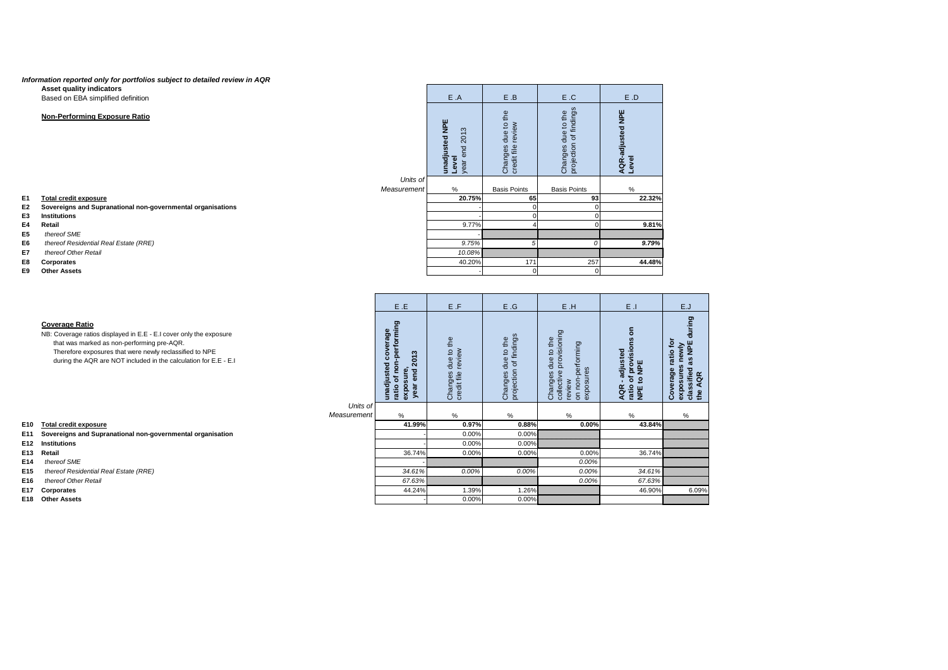### *Information reported only for portfolios subject to detailed review in AQR* **Asset quality indicators**

- **E1 Total credit exposure**
- **E2 Sovereigns and Supranational non-governmental organisations**
- **E3 Institutions**
- **E4 Retail**
- **E5** *thereof SME*
- **E6** *thereof Residential Real Estate (RRE)*
- **E7** *thereof Other Retail*
- **E8 Corporates**
- **Cther Assets**

Based on EBA simplified definition

# **Non-Performing Exposure Ratio**

|                         | E.A                                             | E.B                                         | E.C                                          | E.D                                     |
|-------------------------|-------------------------------------------------|---------------------------------------------|----------------------------------------------|-----------------------------------------|
|                         | unadjusted NPE<br>year end 2013<br><b>Level</b> | Changes due to the<br>review<br>credit file | projection of findings<br>Changes due to the | <b>AQR-adjusted NPE</b><br><b>Level</b> |
| Units of<br>Measurement | $\%$                                            | <b>Basis Points</b>                         | <b>Basis Points</b>                          | $\%$                                    |
|                         | 20.75%                                          | 65                                          | 93                                           | 22.32%                                  |
|                         |                                                 | 0                                           | 0                                            |                                         |
|                         |                                                 | 0                                           | 0                                            |                                         |
|                         | 9.77%                                           | 4                                           | 0                                            | 9.81%                                   |
|                         |                                                 |                                             |                                              |                                         |
|                         | 9.75%                                           | 5                                           | 0                                            | 9.79%                                   |
|                         | 10.08%                                          |                                             |                                              |                                         |
|                         | 40.20%                                          | 171                                         | 257                                          | 44.48%                                  |
|                         |                                                 | 0                                           | 0                                            |                                         |

|             | E.E                                                                          | E.F                                            | E.G                                          | E.H                                                                                       | $E$ .                                                                                                        | E.J                                                                             |
|-------------|------------------------------------------------------------------------------|------------------------------------------------|----------------------------------------------|-------------------------------------------------------------------------------------------|--------------------------------------------------------------------------------------------------------------|---------------------------------------------------------------------------------|
|             | ratio of non-performing<br>unadjusted coverage<br>year end 2013<br>exposure, | due to the<br>review<br>credit file<br>Changes | projection of findings<br>Changes due to the | collective provisioning<br>Changes due to the<br>on non-performing<br>exposures<br>review | $\epsilon$<br>of provisions<br>adjusted-<br><b>NPE</b><br>$\overline{5}$<br>ratio<br><b>AQR</b><br><b>PE</b> | during<br>Coverage ratio for<br>classified as NPE<br>exposures newly<br>the AQR |
| Units of    |                                                                              |                                                |                                              |                                                                                           |                                                                                                              |                                                                                 |
| Measurement | $\%$                                                                         | $\%$                                           | $\%$                                         | $\%$                                                                                      | $\%$                                                                                                         | $\%$                                                                            |
|             | 41.99%                                                                       | 0.97%                                          | 0.88%                                        | 0.00%                                                                                     | 43.84%                                                                                                       |                                                                                 |
|             |                                                                              | 0.00%                                          | 0.00%                                        |                                                                                           |                                                                                                              |                                                                                 |
|             |                                                                              | 0.00%                                          | 0.00%                                        |                                                                                           |                                                                                                              |                                                                                 |
|             | 36.74%                                                                       | 0.00%                                          | 0.00%                                        | 0.00%                                                                                     | 36.74%                                                                                                       |                                                                                 |
|             |                                                                              |                                                |                                              | 0.00%                                                                                     |                                                                                                              |                                                                                 |
|             | 34.61%                                                                       | 0.00%                                          | 0.00%                                        | 0.00%                                                                                     | 34.61%                                                                                                       |                                                                                 |
|             | 67.63%                                                                       |                                                |                                              | 0.00%                                                                                     | 67.63%                                                                                                       |                                                                                 |
|             | 44.24%                                                                       | 1.39%                                          | 1.26%                                        |                                                                                           | 46.90%                                                                                                       | 6.09%                                                                           |
|             |                                                                              | 0.00%                                          | 0.00%                                        |                                                                                           |                                                                                                              |                                                                                 |

|     |                                                                                                                                                                                                                                                                          |             | E.E                                                                                                                                              | E.F                                                           | E.G                                                                  | E.H                                                                                                                      | $E$ .                                                                                                                                                               | E.J                                                                                                          |
|-----|--------------------------------------------------------------------------------------------------------------------------------------------------------------------------------------------------------------------------------------------------------------------------|-------------|--------------------------------------------------------------------------------------------------------------------------------------------------|---------------------------------------------------------------|----------------------------------------------------------------------|--------------------------------------------------------------------------------------------------------------------------|---------------------------------------------------------------------------------------------------------------------------------------------------------------------|--------------------------------------------------------------------------------------------------------------|
|     | <b>Coverage Ratio</b><br>NB: Coverage ratios displayed in E.E - E.I cover only the exposure<br>that was marked as non-performing pre-AQR.<br>Therefore exposures that were newly reclassified to NPE<br>during the AQR are NOT included in the calculation for E.E - E.I |             | rming<br>coverage<br>perfor<br><u>ကို</u><br>$\overline{20}$<br>unadjusted<br>ē<br>့ၿ<br>ट<br>sur<br>৳<br>$\mathbf{d}$<br>expoxe<br>ratio<br>yea | to the<br>$\epsilon$<br>due<br>revi<br>Changes<br>credit file | of findings<br>the<br>$\overline{a}$<br>due<br>projection<br>Changes | provisioning<br>the<br>performing<br>$\mathsf{S}$<br>due<br>res<br>collective<br>Changes<br>exposur<br>on non-<br>review | $\overline{5}$<br>$\overline{6}$<br><u>់ក</u><br>もの<br><b>PION</b><br>$\frac{1}{\sigma}$<br>$\boldsymbol{\omega}$<br>$\mathbf{c}$<br>$\circ$<br>AQR<br>ratio<br>NPE | ဇွာ<br>ъ.<br>$\mathbf{r}$<br>뿐<br>atio<br>Coverage<br>ssifie<br>AQR<br>the<br>ြု့<br>$\overline{\mathbf{x}}$ |
|     |                                                                                                                                                                                                                                                                          | Units of    |                                                                                                                                                  |                                                               |                                                                      |                                                                                                                          |                                                                                                                                                                     |                                                                                                              |
|     |                                                                                                                                                                                                                                                                          | Measurement | $\%$                                                                                                                                             | %                                                             | %                                                                    | $\frac{0}{0}$                                                                                                            | $\%$                                                                                                                                                                | %                                                                                                            |
| E10 | <b>Total credit exposure</b>                                                                                                                                                                                                                                             |             | 41.99%                                                                                                                                           | 0.97%                                                         | 0.88%                                                                | 0.00%                                                                                                                    | 43.84%                                                                                                                                                              |                                                                                                              |
| E11 | Sovereigns and Supranational non-governmental organisation                                                                                                                                                                                                               |             |                                                                                                                                                  | 0.00%                                                         | 0.00%                                                                |                                                                                                                          |                                                                                                                                                                     |                                                                                                              |
| E12 | <b>Institutions</b>                                                                                                                                                                                                                                                      |             |                                                                                                                                                  | 0.00%                                                         | 0.00%                                                                |                                                                                                                          |                                                                                                                                                                     |                                                                                                              |
| E13 | <b>Retail</b>                                                                                                                                                                                                                                                            |             | 36.74%                                                                                                                                           | 0.00%                                                         | 0.00%                                                                | 0.00%                                                                                                                    | 36.74%                                                                                                                                                              |                                                                                                              |
| E14 | thereof SME                                                                                                                                                                                                                                                              |             |                                                                                                                                                  |                                                               |                                                                      | 0.00%                                                                                                                    |                                                                                                                                                                     |                                                                                                              |
| E15 | thereof Residential Real Estate (RRE)                                                                                                                                                                                                                                    |             | 34.61%                                                                                                                                           | 0.00%                                                         | 0.00%                                                                | 0.00%                                                                                                                    | 34.61%                                                                                                                                                              |                                                                                                              |
| E16 | thereof Other Retail                                                                                                                                                                                                                                                     |             | 67.63%                                                                                                                                           |                                                               |                                                                      | 0.00%                                                                                                                    | 67.63%                                                                                                                                                              |                                                                                                              |
| E17 | <b>Corporates</b>                                                                                                                                                                                                                                                        |             | 44.24%                                                                                                                                           | 1.39%                                                         | 1.26%                                                                |                                                                                                                          | 46.90%                                                                                                                                                              | 6.09%                                                                                                        |
|     | E18 Other Assets                                                                                                                                                                                                                                                         |             |                                                                                                                                                  | 0.00%                                                         | $0.00\%$                                                             |                                                                                                                          |                                                                                                                                                                     |                                                                                                              |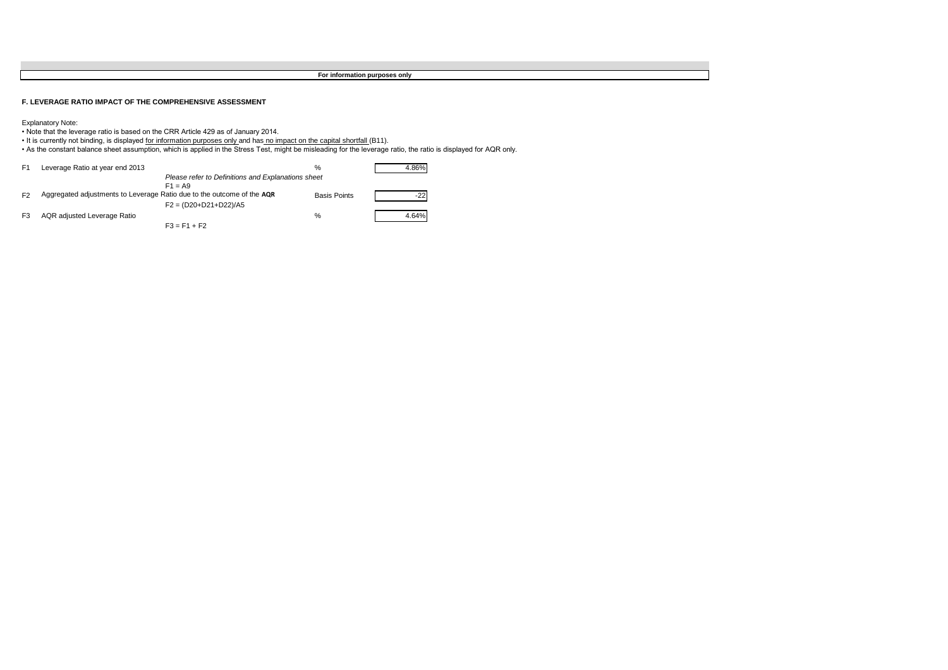# **F. LEVERAGE RATIO IMPACT OF THE COMPREHENSIVE ASSESSMENT**

| F1             | Leverage Ratio at year end 2013                                        |                                                    | %                   | 4.86% |
|----------------|------------------------------------------------------------------------|----------------------------------------------------|---------------------|-------|
|                |                                                                        | Please refer to Definitions and Explanations sheet |                     |       |
|                |                                                                        | $F1 = A9$                                          |                     |       |
| F <sub>2</sub> | Aggregated adjustments to Leverage Ratio due to the outcome of the AQR |                                                    | <b>Basis Points</b> | -221  |
|                |                                                                        | $F2 = (D20+D21+D22)/A5$                            |                     |       |
| F3             | AQR adjusted Leverage Ratio                                            |                                                    | %                   | 4.64% |
|                |                                                                        | $F3 = F1 + F2$                                     |                     |       |

Explanatory Note:

- Note that the leverage ratio is based on the CRR Article 429 as of January 2014.
- It is currently not binding, is displayed for information purposes only and has no impact on the capital shortfall (B11).
- As the constant balance sheet assumption, which is applied in the Stress Test, might be misleading for the leverage ratio, the ratio is displayed for AQR only.

**For information purposes only**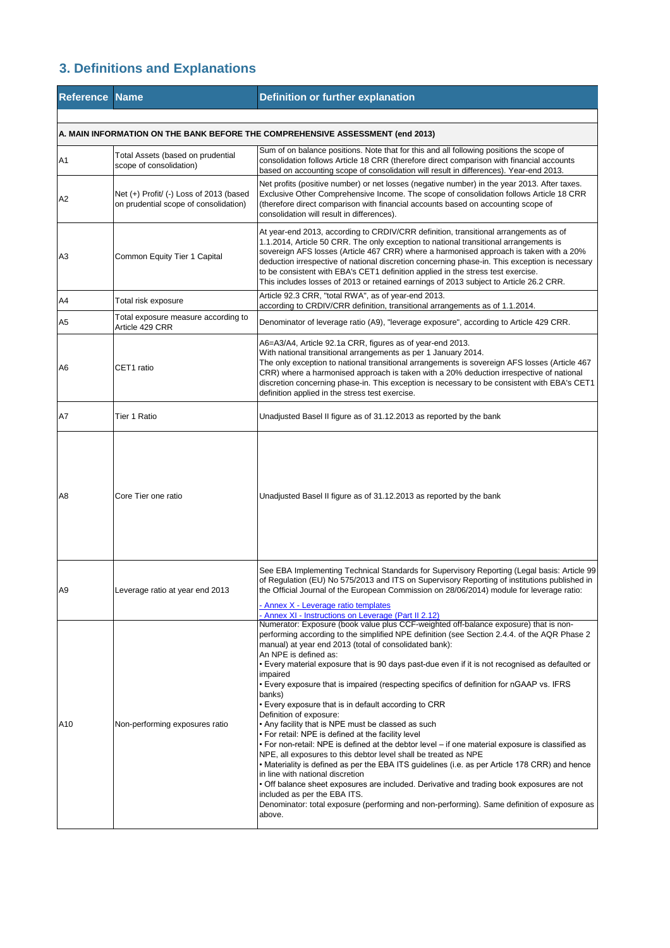# **3. Definitions and Explanations**

| <b>Reference Name</b> |                                                                                  | <b>Definition or further explanation</b>                                                                                                                                                                                                                                                                                                                                                                                                                                                                                                                                                                                                                                                                                                                                                                                                                                                                                                                                                                                                                                                                                                                                                                                                                                                                                                       |
|-----------------------|----------------------------------------------------------------------------------|------------------------------------------------------------------------------------------------------------------------------------------------------------------------------------------------------------------------------------------------------------------------------------------------------------------------------------------------------------------------------------------------------------------------------------------------------------------------------------------------------------------------------------------------------------------------------------------------------------------------------------------------------------------------------------------------------------------------------------------------------------------------------------------------------------------------------------------------------------------------------------------------------------------------------------------------------------------------------------------------------------------------------------------------------------------------------------------------------------------------------------------------------------------------------------------------------------------------------------------------------------------------------------------------------------------------------------------------|
|                       |                                                                                  | A. MAIN INFORMATION ON THE BANK BEFORE THE COMPREHENSIVE ASSESSMENT (end 2013)                                                                                                                                                                                                                                                                                                                                                                                                                                                                                                                                                                                                                                                                                                                                                                                                                                                                                                                                                                                                                                                                                                                                                                                                                                                                 |
| A <sub>1</sub>        | Total Assets (based on prudential<br>scope of consolidation)                     | Sum of on balance positions. Note that for this and all following positions the scope of<br>consolidation follows Article 18 CRR (therefore direct comparison with financial accounts<br>based on accounting scope of consolidation will result in differences). Year-end 2013.                                                                                                                                                                                                                                                                                                                                                                                                                                                                                                                                                                                                                                                                                                                                                                                                                                                                                                                                                                                                                                                                |
| A2                    | Net (+) Profit/ (-) Loss of 2013 (based<br>on prudential scope of consolidation) | Net profits (positive number) or net losses (negative number) in the year 2013. After taxes.<br>Exclusive Other Comprehensive Income. The scope of consolidation follows Article 18 CRR<br>(therefore direct comparison with financial accounts based on accounting scope of<br>consolidation will result in differences).                                                                                                                                                                                                                                                                                                                                                                                                                                                                                                                                                                                                                                                                                                                                                                                                                                                                                                                                                                                                                     |
| A3                    | Common Equity Tier 1 Capital                                                     | At year-end 2013, according to CRDIV/CRR definition, transitional arrangements as of<br>1.1.2014, Article 50 CRR. The only exception to national transitional arrangements is<br>sovereign AFS losses (Article 467 CRR) where a harmonised approach is taken with a 20%<br>deduction irrespective of national discretion concerning phase-in. This exception is necessary<br>to be consistent with EBA's CET1 definition applied in the stress test exercise.<br>This includes losses of 2013 or retained earnings of 2013 subject to Article 26.2 CRR.                                                                                                                                                                                                                                                                                                                                                                                                                                                                                                                                                                                                                                                                                                                                                                                        |
| A4                    | Total risk exposure                                                              | Article 92.3 CRR, "total RWA", as of year-end 2013.<br>according to CRDIV/CRR definition, transitional arrangements as of 1.1.2014.                                                                                                                                                                                                                                                                                                                                                                                                                                                                                                                                                                                                                                                                                                                                                                                                                                                                                                                                                                                                                                                                                                                                                                                                            |
| A <sub>5</sub>        | Total exposure measure according to<br>Article 429 CRR                           | Denominator of leverage ratio (A9), "leverage exposure", according to Article 429 CRR.                                                                                                                                                                                                                                                                                                                                                                                                                                                                                                                                                                                                                                                                                                                                                                                                                                                                                                                                                                                                                                                                                                                                                                                                                                                         |
| A <sub>6</sub>        | CET1 ratio                                                                       | A6=A3/A4, Article 92.1a CRR, figures as of year-end 2013.<br>With national transitional arrangements as per 1 January 2014.<br>The only exception to national transitional arrangements is sovereign AFS losses (Article 467<br>CRR) where a harmonised approach is taken with a 20% deduction irrespective of national<br>discretion concerning phase-in. This exception is necessary to be consistent with EBA's CET1<br>definition applied in the stress test exercise.                                                                                                                                                                                                                                                                                                                                                                                                                                                                                                                                                                                                                                                                                                                                                                                                                                                                     |
| A7                    | <b>Tier 1 Ratio</b>                                                              | Unadjusted Basel II figure as of 31.12.2013 as reported by the bank                                                                                                                                                                                                                                                                                                                                                                                                                                                                                                                                                                                                                                                                                                                                                                                                                                                                                                                                                                                                                                                                                                                                                                                                                                                                            |
| A <sub>8</sub>        | Core Tier one ratio                                                              | Unadjusted Basel II figure as of 31.12.2013 as reported by the bank                                                                                                                                                                                                                                                                                                                                                                                                                                                                                                                                                                                                                                                                                                                                                                                                                                                                                                                                                                                                                                                                                                                                                                                                                                                                            |
| A <sub>9</sub>        | Leverage ratio at year end 2013                                                  | See EBA Implementing Technical Standards for Supervisory Reporting (Legal basis: Article 99<br>of Regulation (EU) No 575/2013 and ITS on Supervisory Reporting of institutions published in<br>the Official Journal of the European Commission on 28/06/2014) module for leverage ratio:                                                                                                                                                                                                                                                                                                                                                                                                                                                                                                                                                                                                                                                                                                                                                                                                                                                                                                                                                                                                                                                       |
| A10                   | Non-performing exposures ratio                                                   | - Annex X - Leverage ratio templates<br>- Annex XI - Instructions on Leverage (Part II 2.12)<br>Numerator: Exposure (book value plus CCF-weighted off-balance exposure) that is non-<br>performing according to the simplified NPE definition (see Section 2.4.4. of the AQR Phase 2<br>manual) at year end 2013 (total of consolidated bank):<br>An NPE is defined as:<br>• Every material exposure that is 90 days past-due even if it is not recognised as defaulted or<br>impaired<br>• Every exposure that is impaired (respecting specifics of definition for nGAAP vs. IFRS<br>banks)<br>• Every exposure that is in default according to CRR<br>Definition of exposure:<br>• Any facility that is NPE must be classed as such<br>• For retail: NPE is defined at the facility level<br>• For non-retail: NPE is defined at the debtor level – if one material exposure is classified as<br>NPE, all exposures to this debtor level shall be treated as NPE<br>• Materiality is defined as per the EBA ITS guidelines (i.e. as per Article 178 CRR) and hence<br>in line with national discretion<br>• Off balance sheet exposures are included. Derivative and trading book exposures are not<br>included as per the EBA ITS.<br>Denominator: total exposure (performing and non-performing). Same definition of exposure as<br>above. |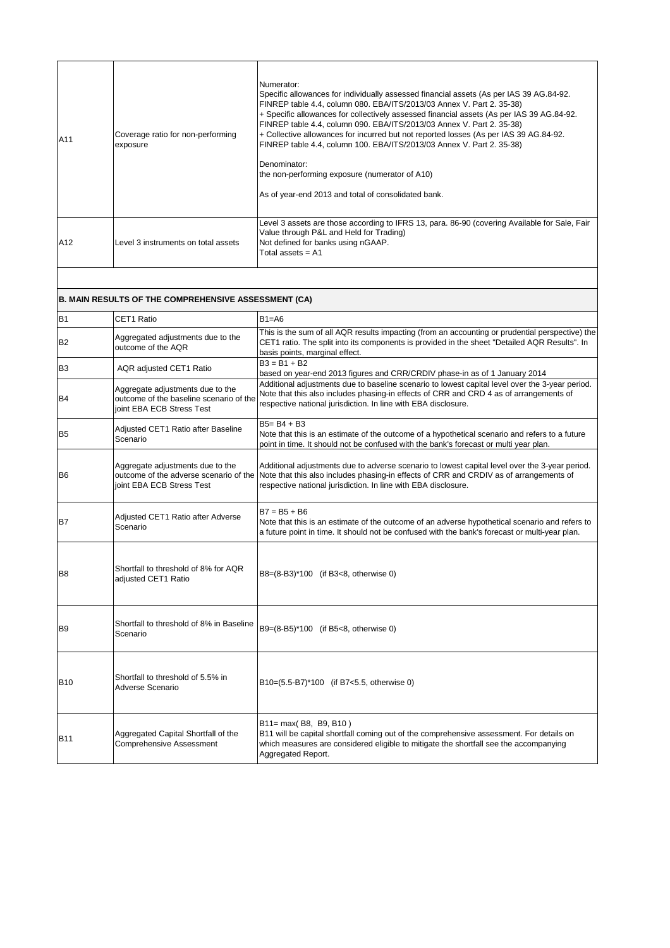| <b>JA11</b> | Coverage ratio for non-performing<br>exposure | Numerator:<br>Specific allowances for individually assessed financial assets (As per IAS 39 AG.84-92.<br>FINREP table 4.4, column 080. EBA/ITS/2013/03 Annex V. Part 2. 35-38)<br>+ Specific allowances for collectively assessed financial assets (As per IAS 39 AG.84-92.<br>FINREP table 4.4, column 090. EBA/ITS/2013/03 Annex V. Part 2. 35-38)<br>+ Collective allowances for incurred but not reported losses (As per IAS 39 AG.84-92.<br>FINREP table 4.4, column 100. EBA/ITS/2013/03 Annex V. Part 2. 35-38)<br>Denominator:<br>the non-performing exposure (numerator of A10)<br>As of year-end 2013 and total of consolidated bank. |
|-------------|-----------------------------------------------|-------------------------------------------------------------------------------------------------------------------------------------------------------------------------------------------------------------------------------------------------------------------------------------------------------------------------------------------------------------------------------------------------------------------------------------------------------------------------------------------------------------------------------------------------------------------------------------------------------------------------------------------------|
| A12         | Level 3 instruments on total assets           | Level 3 assets are those according to IFRS 13, para. 86-90 (covering Available for Sale, Fair<br>Value through P&L and Held for Trading)<br>Not defined for banks using nGAAP.<br>Total assets $=$ A1                                                                                                                                                                                                                                                                                                                                                                                                                                           |

| B <sub>1</sub> | <b>CET1 Ratio</b>                                                                                        | $B1 = A6$                                                                                                                                                                                                                                                                                         |
|----------------|----------------------------------------------------------------------------------------------------------|---------------------------------------------------------------------------------------------------------------------------------------------------------------------------------------------------------------------------------------------------------------------------------------------------|
| <b>B2</b>      | Aggregated adjustments due to the<br>outcome of the AQR                                                  | This is the sum of all AQR results impacting (from an accounting or prudential perspective) the<br>CET1 ratio. The split into its components is provided in the sheet "Detailed AQR Results". In<br>basis points, marginal effect.                                                                |
| B <sub>3</sub> | AQR adjusted CET1 Ratio                                                                                  | $B3 = B1 + B2$<br>based on year-end 2013 figures and CRR/CRDIV phase-in as of 1 January 2014                                                                                                                                                                                                      |
| B <sub>4</sub> | Aggregate adjustments due to the<br>outcome of the baseline scenario of the<br>joint EBA ECB Stress Test | Additional adjustments due to baseline scenario to lowest capital level over the 3-year period.<br>Note that this also includes phasing-in effects of CRR and CRD 4 as of arrangements of<br>respective national jurisdiction. In line with EBA disclosure.                                       |
| B <sub>5</sub> | Adjusted CET1 Ratio after Baseline<br>Scenario                                                           | B5= B4 + B3<br>Note that this is an estimate of the outcome of a hypothetical scenario and refers to a future<br>point in time. It should not be confused with the bank's forecast or multi year plan.                                                                                            |
| B <sub>6</sub> | Aggregate adjustments due to the<br>joint EBA ECB Stress Test                                            | Additional adjustments due to adverse scenario to lowest capital level over the 3-year period.<br>outcome of the adverse scenario of the Note that this also includes phasing-in effects of CRR and CRDIV as of arrangements of<br>respective national jurisdiction. In line with EBA disclosure. |
| B7             | Adjusted CET1 Ratio after Adverse<br>Scenario                                                            | $B7 = B5 + B6$<br>Note that this is an estimate of the outcome of an adverse hypothetical scenario and refers to<br>a future point in time. It should not be confused with the bank's forecast or multi-year plan.                                                                                |
| B <sub>8</sub> | Shortfall to threshold of 8% for AQR<br>adjusted CET1 Ratio                                              | B8=(8-B3)*100 (if B3<8, otherwise 0)                                                                                                                                                                                                                                                              |
| IB9            | Shortfall to threshold of 8% in Baseline<br>Scenario                                                     | B9=(8-B5)*100 (if B5<8, otherwise 0)                                                                                                                                                                                                                                                              |
|                |                                                                                                          |                                                                                                                                                                                                                                                                                                   |

| <b>B10</b> | Shortfall to threshold of 5.5% in<br>Adverse Scenario           | B10=(5.5-B7)*100 (if B7<5.5, otherwise 0)                                                                                                                                                                                            |
|------------|-----------------------------------------------------------------|--------------------------------------------------------------------------------------------------------------------------------------------------------------------------------------------------------------------------------------|
| IB11       | Aggregated Capital Shortfall of the<br>Comprehensive Assessment | $ B11= max(B8, B9, B10)$<br>[B11 will be capital shortfall coming out of the comprehensive assessment. For details on<br>which measures are considered eligible to mitigate the shortfall see the accompanying<br>Aggregated Report. |

# **B. MAIN RESULTS OF THE COMPREHENSIVE ASSESSMENT (CA)**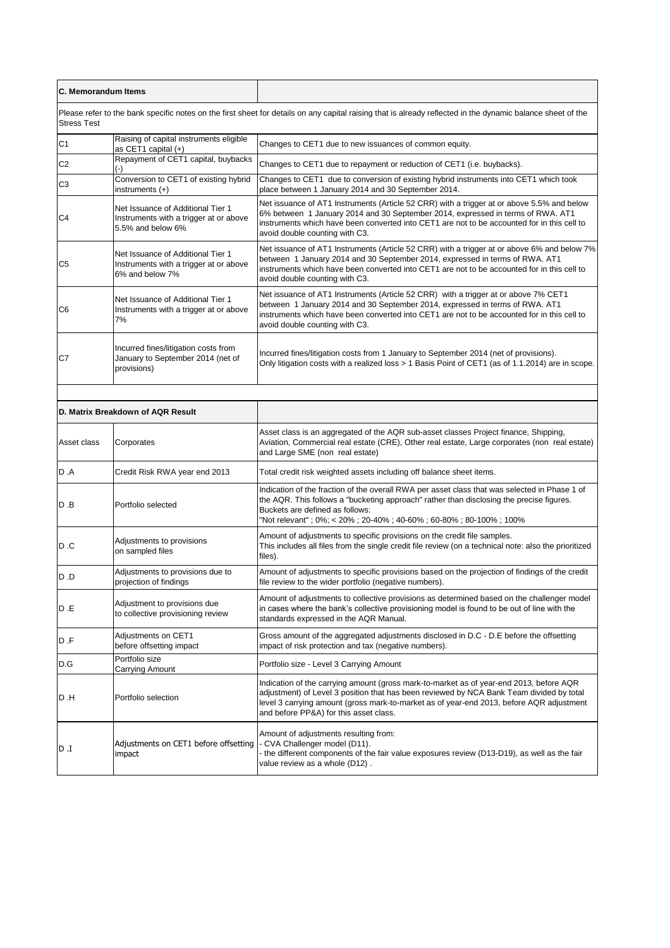| <b>IC. Memorandum Items</b> |                                                                                                  |                                                                                                                                                                                                                                                                                                                           |
|-----------------------------|--------------------------------------------------------------------------------------------------|---------------------------------------------------------------------------------------------------------------------------------------------------------------------------------------------------------------------------------------------------------------------------------------------------------------------------|
| <b>Stress Test</b>          |                                                                                                  | Please refer to the bank specific notes on the first sheet for details on any capital raising that is already reflected in the dynamic balance sheet of the                                                                                                                                                               |
| C <sub>1</sub>              | Raising of capital instruments eligible<br>as CET1 capital $(+)$                                 | Changes to CET1 due to new issuances of common equity.                                                                                                                                                                                                                                                                    |
| C <sub>2</sub>              | Repayment of CET1 capital, buybacks                                                              | Changes to CET1 due to repayment or reduction of CET1 (i.e. buybacks).                                                                                                                                                                                                                                                    |
| C <sub>3</sub>              | Conversion to CET1 of existing hybrid<br>instruments (+)                                         | Changes to CET1 due to conversion of existing hybrid instruments into CET1 which took<br>place between 1 January 2014 and 30 September 2014.                                                                                                                                                                              |
| C <sub>4</sub>              | Net Issuance of Additional Tier 1<br>Instruments with a trigger at or above<br>5.5% and below 6% | Net issuance of AT1 Instruments (Article 52 CRR) with a trigger at or above 5.5% and below<br>6% between 1 January 2014 and 30 September 2014, expressed in terms of RWA. AT1<br>linstruments which have been converted into CET1 are not to be accounted for in this cell to<br>avoid double counting with C3.           |
| C <sub>5</sub>              | Net Issuance of Additional Tier 1<br>Instruments with a trigger at or above<br>6% and below 7%   | Net issuance of AT1 Instruments (Article 52 CRR) with a trigger at or above 6% and below 7%<br>between 1 January 2014 and 30 September 2014, expressed in terms of RWA. AT1<br>instruments which have been converted into CET1 are not to be accounted for in this cell to<br>avoid double counting with C3.              |
| C <sub>6</sub>              | Net Issuance of Additional Tier 1<br>Instruments with a trigger at or above<br>7%                | Net issuance of AT1 Instruments (Article 52 CRR) with a trigger at or above 7% CET1<br>between 1 January 2014 and 30 September 2014, expressed in terms of RWA. AT1<br>instruments which have been converted into CET1 are not to be accounted for in this cell to<br>avoid double counting with C3.                      |
| C <sub>7</sub>              | Incurred fines/litigation costs from<br>January to September 2014 (net of<br>provisions)         | Incurred fines/litigation costs from 1 January to September 2014 (net of provisions).<br>Only litigation costs with a realized loss > 1 Basis Point of CET1 (as of 1.1.2014) are in scope.                                                                                                                                |
|                             |                                                                                                  |                                                                                                                                                                                                                                                                                                                           |
|                             | D. Matrix Breakdown of AQR Result                                                                |                                                                                                                                                                                                                                                                                                                           |
| Asset class                 | Corporates                                                                                       | Asset class is an aggregated of the AQR sub-asset classes Project finance, Shipping,<br>Aviation, Commercial real estate (CRE), Other real estate, Large corporates (non real estate)<br>and Large SME (non real estate)                                                                                                  |
| D .A                        | Credit Risk RWA year end 2013                                                                    | Total credit risk weighted assets including off balance sheet items.                                                                                                                                                                                                                                                      |
| ID .B                       | Portfolio selected                                                                               | Indication of the fraction of the overall RWA per asset class that was selected in Phase 1 of<br>the AQR. This follows a "bucketing approach" rather than disclosing the precise figures.<br>Buckets are defined as follows:<br>"Not relevant"; 0%; < 20%; 20-40%; 40-60%; 60-80%; 80-100%; 100%                          |
| D.C                         | Adjustments to provisions<br>on sampled files                                                    | Amount of adjustments to specific provisions on the credit file samples.<br>This includes all files from the single credit file review (on a technical note: also the prioritized<br>files).                                                                                                                              |
| O. O                        | Adjustments to provisions due to<br>projection of findings                                       | Amount of adjustments to specific provisions based on the projection of findings of the credit<br>file review to the wider portfolio (negative numbers).                                                                                                                                                                  |
| D .E                        | Adjustment to provisions due<br>to collective provisioning review                                | Amount of adjustments to collective provisions as determined based on the challenger model<br>in cases where the bank's collective provisioning model is found to be out of line with the<br>standards expressed in the AQR Manual.                                                                                       |
| D.F                         | Adjustments on CET1<br>before offsetting impact                                                  | Gross amount of the aggregated adjustments disclosed in D.C - D.E before the offsetting<br>impact of risk protection and tax (negative numbers).                                                                                                                                                                          |
| D.G                         | Portfolio size<br><b>Carrying Amount</b>                                                         | Portfolio size - Level 3 Carrying Amount                                                                                                                                                                                                                                                                                  |
| ID .H                       | Portfolio selection                                                                              | Indication of the carrying amount (gross mark-to-market as of year-end 2013, before AQR<br>adjustment) of Level 3 position that has been reviewed by NCA Bank Team divided by total<br>level 3 carrying amount (gross mark-to-market as of year-end 2013, before AQR adjustment<br>and before PP&A) for this asset class. |
| I. a                        | Adjustments on CET1 before offsetting<br>impact                                                  | Amount of adjustments resulting from:<br>CVA Challenger model (D11).<br>- the different components of the fair value exposures review (D13-D19), as well as the fair<br>value review as a whole (D12).                                                                                                                    |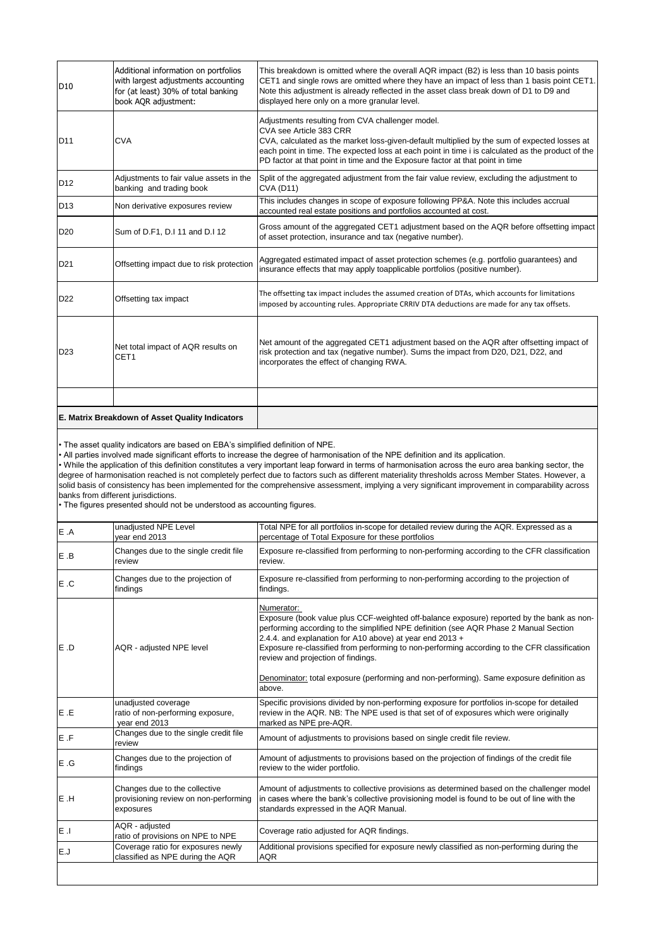| D <sub>10</sub> | Additional information on portfolios<br>with largest adjustments accounting<br>for (at least) 30% of total banking<br>book AQR adjustment: | This breakdown is omitted where the overall AQR impact (B2) is less than 10 basis points<br>CET1 and single rows are omitted where they have an impact of less than 1 basis point CET1.<br>Note this adjustment is already reflected in the asset class break down of D1 to D9 and<br>displayed here only on a more granular level.                               |
|-----------------|--------------------------------------------------------------------------------------------------------------------------------------------|-------------------------------------------------------------------------------------------------------------------------------------------------------------------------------------------------------------------------------------------------------------------------------------------------------------------------------------------------------------------|
| <b>D11</b>      | <b>CVA</b>                                                                                                                                 | Adjustments resulting from CVA challenger model.<br>CVA see Article 383 CRR<br>CVA, calculated as the market loss-given-default multiplied by the sum of expected losses at<br>each point in time. The expected loss at each point in time i is calculated as the product of the<br>PD factor at that point in time and the Exposure factor at that point in time |
| D <sub>12</sub> | Adjustments to fair value assets in the<br>banking and trading book                                                                        | Split of the aggregated adjustment from the fair value review, excluding the adjustment to<br><b>CVA (D11)</b>                                                                                                                                                                                                                                                    |
| ID13            | Non derivative exposures review                                                                                                            | This includes changes in scope of exposure following PP&A. Note this includes accrual<br>accounted real estate positions and portfolios accounted at cost.                                                                                                                                                                                                        |
| <b>D20</b>      | Sum of D.F1, D.I 11 and D.I 12                                                                                                             | Gross amount of the aggregated CET1 adjustment based on the AQR before offsetting impact<br>of asset protection, insurance and tax (negative number).                                                                                                                                                                                                             |
| D <sub>21</sub> | Offsetting impact due to risk protection                                                                                                   | Aggregated estimated impact of asset protection schemes (e.g. portfolio guarantees) and<br>insurance effects that may apply toapplicable portfolios (positive number).                                                                                                                                                                                            |
| <b>D22</b>      | Offsetting tax impact                                                                                                                      | The offsetting tax impact includes the assumed creation of DTAs, which accounts for limitations<br>imposed by accounting rules. Appropriate CRRIV DTA deductions are made for any tax offsets.                                                                                                                                                                    |
| D <sub>23</sub> | Net total impact of AQR results on<br>CET <sub>1</sub>                                                                                     | Net amount of the aggregated CET1 adjustment based on the AQR after offsetting impact of<br>risk protection and tax (negative number). Sums the impact from D20, D21, D22, and<br>incorporates the effect of changing RWA.                                                                                                                                        |
|                 |                                                                                                                                            |                                                                                                                                                                                                                                                                                                                                                                   |
|                 | E. Matrix Breakdown of Asset Quality Indicators                                                                                            |                                                                                                                                                                                                                                                                                                                                                                   |

| E .A  | unadjusted NPE Level<br>year end 2013                                               | Total NPE for all portfolios in-scope for detailed review during the AQR. Expressed as a<br>percentage of Total Exposure for these portfolios                                                                                                                                                                                                                                                      |
|-------|-------------------------------------------------------------------------------------|----------------------------------------------------------------------------------------------------------------------------------------------------------------------------------------------------------------------------------------------------------------------------------------------------------------------------------------------------------------------------------------------------|
| E .B  | Changes due to the single credit file<br>review                                     | Exposure re-classified from performing to non-performing according to the CFR classification<br>review.                                                                                                                                                                                                                                                                                            |
| E.C   | Changes due to the projection of<br>findings                                        | Exposure re-classified from performing to non-performing according to the projection of<br>findings.                                                                                                                                                                                                                                                                                               |
| IE .D | AQR - adjusted NPE level                                                            | Numerator:<br>Exposure (book value plus CCF-weighted off-balance exposure) reported by the bank as non-<br>performing according to the simplified NPE definition (see AQR Phase 2 Manual Section<br>2.4.4. and explanation for A10 above) at year end 2013 +<br>Exposure re-classified from performing to non-performing according to the CFR classification<br>review and projection of findings. |
|       |                                                                                     | Denominator: total exposure (performing and non-performing). Same exposure definition as<br>above.                                                                                                                                                                                                                                                                                                 |
| E .E  | unadjusted coverage<br>ratio of non-performing exposure,<br>year end 2013           | Specific provisions divided by non-performing exposure for portfolios in-scope for detailed<br>review in the AQR. NB: The NPE used is that set of of exposures which were originally<br>marked as NPE pre-AQR.                                                                                                                                                                                     |
| E .F  | Changes due to the single credit file<br>review                                     | Amount of adjustments to provisions based on single credit file review.                                                                                                                                                                                                                                                                                                                            |
| E.G   | Changes due to the projection of<br>findings                                        | Amount of adjustments to provisions based on the projection of findings of the credit file<br>review to the wider portfolio.                                                                                                                                                                                                                                                                       |
| E .H  | Changes due to the collective<br>provisioning review on non-performing<br>exposures | Amount of adjustments to collective provisions as determined based on the challenger model<br>in cases where the bank's collective provisioning model is found to be out of line with the<br>standards expressed in the AQR Manual.                                                                                                                                                                |
| le .i | AQR - adjusted<br>ratio of provisions on NPE to NPE                                 | Coverage ratio adjusted for AQR findings.                                                                                                                                                                                                                                                                                                                                                          |
| lE.J  | Coverage ratio for exposures newly<br>classified as NPE during the AQR              | Additional provisions specified for exposure newly classified as non-performing during the<br><b>AQR</b>                                                                                                                                                                                                                                                                                           |
|       |                                                                                     |                                                                                                                                                                                                                                                                                                                                                                                                    |

• The asset quality indicators are based on EBA's simplified definition of NPE.

• All parties involved made significant efforts to increase the degree of harmonisation of the NPE definition and its application.

• While the application of this definition constitutes a very important leap forward in terms of harmonisation across the euro area banking sector, the degree of harmonisation reached is not completely perfect due to factors such as different materiality thresholds across Member States. However, a solid basis of consistency has been implemented for the comprehensive assessment, implying a very significant improvement in comparability across banks from different jurisdictions.

• The figures presented should not be understood as accounting figures.